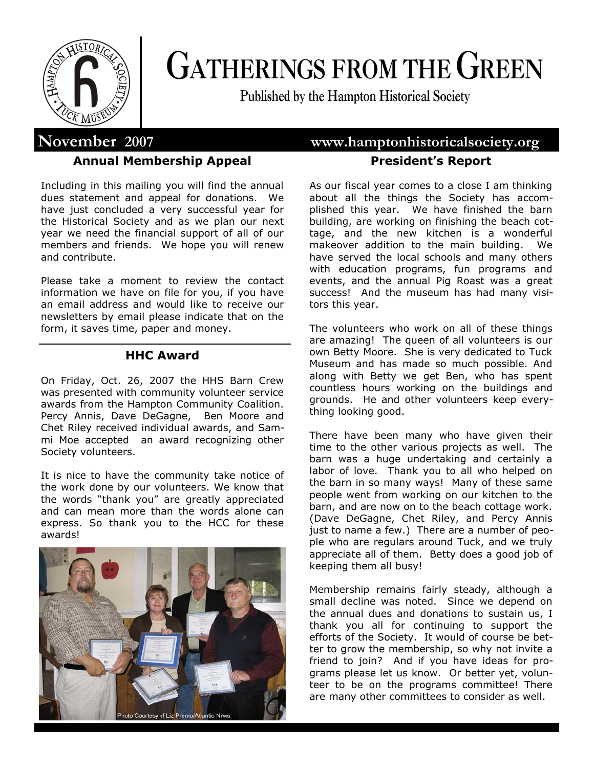

# **GATHERINGS FROM THE GREEN**

**Published by the Hampton Historical Society**

### **Annual Membership Appeal**

Including in this mailing you will find the annual dues statement and appeal for donations. We have just concluded a very successful year for the Historical Society and as we plan our next year we need the financial support of all of our members and friends. We hope you will renew and contribute.

Please take a moment to review the contact information we have on file for you, if you have an email address and would like to receive our newsletters by email please indicate that on the form, it saves time, paper and money.

#### **HHC Award**

On Friday, Oct. 26, 2007 the HHS Barn Crew was presented with community volunteer service awards from the Hampton Community Coalition. Percy Annis, Dave DeGagne, Ben Moore and Chet Riley received individual awards, and Sammi Moe accepted an award recognizing other Society volunteers.

It is nice to have the community take notice of the work done by our volunteers. We know that the words "thank you" are greatly appreciated and can mean more than the words alone can express. So thank you to the HCC for these awards!



## **November 2007 www.hamptonhistoricalsociety.org President's Report**

As our fiscal year comes to a close I am thinking about all the things the Society has accomplished this year. We have finished the barn building, are working on finishing the beach cottage, and the new kitchen is a wonderful makeover addition to the main building. We have served the local schools and many others with education programs, fun programs and events, and the annual Pig Roast was a great success! And the museum has had many visitors this year.

The volunteers who work on all of these things are amazing! The queen of all volunteers is our own Betty Moore. She is very dedicated to Tuck Museum and has made so much possible. And along with Betty we get Ben, who has spent countless hours working on the buildings and grounds. He and other volunteers keep everything looking good.

There have been many who have given their time to the other various projects as well. The barn was a huge undertaking and certainly a labor of love. Thank you to all who helped on the barn in so many ways! Many of these same people went from working on our kitchen to the barn, and are now on to the beach cottage work. (Dave DeGagne, Chet Riley, and Percy Annis just to name a few.) There are a number of people who are regulars around Tuck, and we truly appreciate all of them. Betty does a good job of keeping them all busy!

Membership remains fairly steady, although a small decline was noted. Since we depend on the annual dues and donations to sustain us, I thank you all for continuing to support the efforts of the Society. It would of course be better to grow the membership, so why not invite a friend to join? And if you have ideas for programs please let us know. Or better yet, volunteer to be on the programs committee! There are many other committees to consider as well.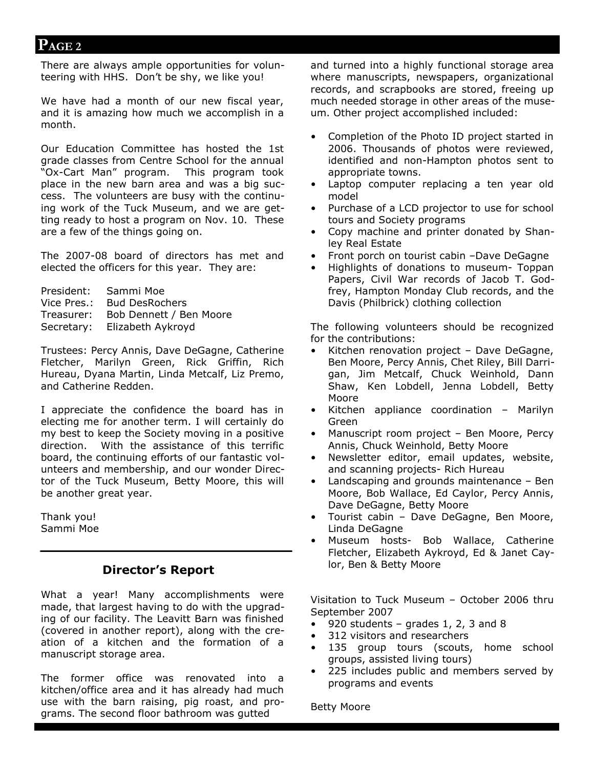## **PAGE 2**

There are always ample opportunities for volunteering with HHS. Don't be shy, we like you!

We have had a month of our new fiscal year, and it is amazing how much we accomplish in a month.

Our Education Committee has hosted the 1st grade classes from Centre School for the annual "Ox-Cart Man" program. This program took place in the new barn area and was a big success. The volunteers are busy with the continuing work of the Tuck Museum, and we are getting ready to host a program on Nov. 10. These are a few of the things going on.

The 2007-08 board of directors has met and elected the officers for this year. They are:

| President:  | Sammi Moe               |
|-------------|-------------------------|
| Vice Pres.: | <b>Bud DesRochers</b>   |
| Treasurer:  | Bob Dennett / Ben Moore |
| Secretary:  | Elizabeth Aykroyd       |
|             |                         |

Trustees: Percy Annis, Dave DeGagne, Catherine Fletcher, Marilyn Green, Rick Griffin, Rich Hureau, Dyana Martin, Linda Metcalf, Liz Premo, and Catherine Redden.

I appreciate the confidence the board has in electing me for another term. I will certainly do my best to keep the Society moving in a positive direction. With the assistance of this terrific board, the continuing efforts of our fantastic volunteers and membership, and our wonder Director of the Tuck Museum, Betty Moore, this will be another great year.

Thank you! Sammi Moe

#### **Director's Report**

What a year! Many accomplishments were made, that largest having to do with the upgrading of our facility. The Leavitt Barn was finished (covered in another report), along with the creation of a kitchen and the formation of a manuscript storage area.

The former office was renovated into a kitchen/office area and it has already had much use with the barn raising, pig roast, and programs. The second floor bathroom was gutted

and turned into a highly functional storage area where manuscripts, newspapers, organizational records, and scrapbooks are stored, freeing up much needed storage in other areas of the museum. Other project accomplished included:

- Completion of the Photo ID project started in 2006. Thousands of photos were reviewed, identified and non-Hampton photos sent to appropriate towns.
- Laptop computer replacing a ten year old model
- Purchase of a LCD projector to use for school tours and Society programs
- Copy machine and printer donated by Shanley Real Estate
- Front porch on tourist cabin –Dave DeGagne
- Highlights of donations to museum- Toppan Papers, Civil War records of Jacob T. Godfrey, Hampton Monday Club records, and the Davis (Philbrick) clothing collection

The following volunteers should be recognized for the contributions:

- Kitchen renovation project Dave DeGagne, Ben Moore, Percy Annis, Chet Riley, Bill Darrigan, Jim Metcalf, Chuck Weinhold, Dann Shaw, Ken Lobdell, Jenna Lobdell, Betty Moore
- Kitchen appliance coordination Marilyn Green
- Manuscript room project Ben Moore, Percy Annis, Chuck Weinhold, Betty Moore
- Newsletter editor, email updates, website, and scanning projects- Rich Hureau
- Landscaping and grounds maintenance Ben Moore, Bob Wallace, Ed Caylor, Percy Annis, Dave DeGagne, Betty Moore
- Tourist cabin Dave DeGagne, Ben Moore, Linda DeGagne
- Museum hosts- Bob Wallace, Catherine Fletcher, Elizabeth Aykroyd, Ed & Janet Caylor, Ben & Betty Moore

Visitation to Tuck Museum – October 2006 thru September 2007

- 920 students grades 1, 2, 3 and 8
- 312 visitors and researchers
- 135 group tours (scouts, home school groups, assisted living tours)
- 225 includes public and members served by programs and events

Betty Moore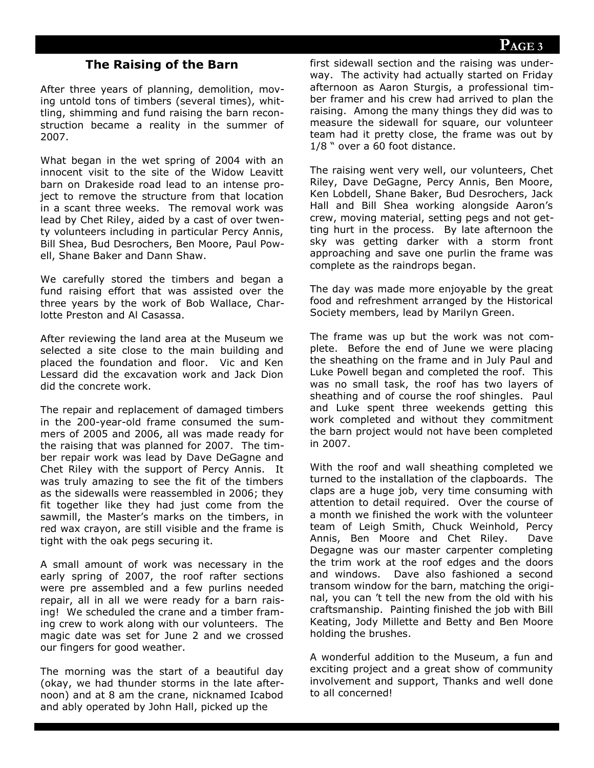## **PAGE 3**

#### **The Raising of the Barn**

After three years of planning, demolition, moving untold tons of timbers (several times), whittling, shimming and fund raising the barn reconstruction became a reality in the summer of 2007.

What began in the wet spring of 2004 with an innocent visit to the site of the Widow Leavitt barn on Drakeside road lead to an intense project to remove the structure from that location in a scant three weeks. The removal work was lead by Chet Riley, aided by a cast of over twenty volunteers including in particular Percy Annis, Bill Shea, Bud Desrochers, Ben Moore, Paul Powell, Shane Baker and Dann Shaw.

We carefully stored the timbers and began a fund raising effort that was assisted over the three years by the work of Bob Wallace, Charlotte Preston and Al Casassa.

After reviewing the land area at the Museum we selected a site close to the main building and placed the foundation and floor. Vic and Ken Lessard did the excavation work and Jack Dion did the concrete work.

The repair and replacement of damaged timbers in the 200-year-old frame consumed the summers of 2005 and 2006, all was made ready for the raising that was planned for 2007. The timber repair work was lead by Dave DeGagne and Chet Riley with the support of Percy Annis. It was truly amazing to see the fit of the timbers as the sidewalls were reassembled in 2006; they fit together like they had just come from the sawmill, the Master's marks on the timbers, in red wax crayon, are still visible and the frame is tight with the oak pegs securing it.

A small amount of work was necessary in the early spring of 2007, the roof rafter sections were pre assembled and a few purlins needed repair, all in all we were ready for a barn raising! We scheduled the crane and a timber framing crew to work along with our volunteers. The magic date was set for June 2 and we crossed our fingers for good weather.

The morning was the start of a beautiful day (okay, we had thunder storms in the late afternoon) and at 8 am the crane, nicknamed Icabod and ably operated by John Hall, picked up the

first sidewall section and the raising was underway. The activity had actually started on Friday afternoon as Aaron Sturgis, a professional timber framer and his crew had arrived to plan the raising. Among the many things they did was to measure the sidewall for square, our volunteer team had it pretty close, the frame was out by 1/8 " over a 60 foot distance.

The raising went very well, our volunteers, Chet Riley, Dave DeGagne, Percy Annis, Ben Moore, Ken Lobdell, Shane Baker, Bud Desrochers, Jack Hall and Bill Shea working alongside Aaron's crew, moving material, setting pegs and not getting hurt in the process. By late afternoon the sky was getting darker with a storm front approaching and save one purlin the frame was complete as the raindrops began.

The day was made more enjoyable by the great food and refreshment arranged by the Historical Society members, lead by Marilyn Green.

The frame was up but the work was not complete. Before the end of June we were placing the sheathing on the frame and in July Paul and Luke Powell began and completed the roof. This was no small task, the roof has two layers of sheathing and of course the roof shingles. Paul and Luke spent three weekends getting this work completed and without they commitment the barn project would not have been completed in 2007.

With the roof and wall sheathing completed we turned to the installation of the clapboards. The claps are a huge job, very time consuming with attention to detail required. Over the course of a month we finished the work with the volunteer team of Leigh Smith, Chuck Weinhold, Percy Annis, Ben Moore and Chet Riley. Dave Degagne was our master carpenter completing the trim work at the roof edges and the doors and windows. Dave also fashioned a second transom window for the barn, matching the original, you can 't tell the new from the old with his craftsmanship. Painting finished the job with Bill Keating, Jody Millette and Betty and Ben Moore holding the brushes.

A wonderful addition to the Museum, a fun and exciting project and a great show of community involvement and support, Thanks and well done to all concerned!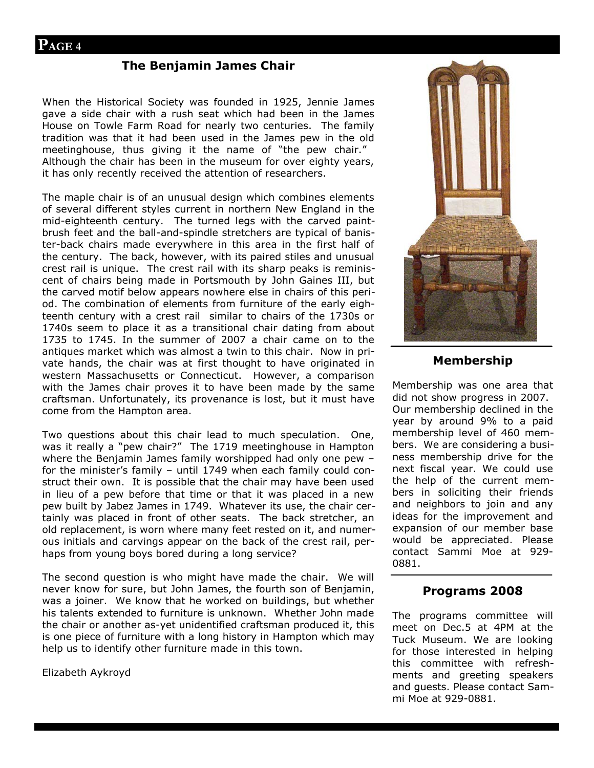#### **The Benjamin James Chair**

When the Historical Society was founded in 1925, Jennie James gave a side chair with a rush seat which had been in the James House on Towle Farm Road for nearly two centuries. The family tradition was that it had been used in the James pew in the old meetinghouse, thus giving it the name of "the pew chair." Although the chair has been in the museum for over eighty years, it has only recently received the attention of researchers.

The maple chair is of an unusual design which combines elements of several different styles current in northern New England in the mid-eighteenth century. The turned legs with the carved paintbrush feet and the ball-and-spindle stretchers are typical of banister-back chairs made everywhere in this area in the first half of the century. The back, however, with its paired stiles and unusual crest rail is unique. The crest rail with its sharp peaks is reminiscent of chairs being made in Portsmouth by John Gaines III, but the carved motif below appears nowhere else in chairs of this period. The combination of elements from furniture of the early eighteenth century with a crest rail similar to chairs of the 1730s or 1740s seem to place it as a transitional chair dating from about 1735 to 1745. In the summer of 2007 a chair came on to the antiques market which was almost a twin to this chair. Now in private hands, the chair was at first thought to have originated in western Massachusetts or Connecticut. However, a comparison with the James chair proves it to have been made by the same craftsman. Unfortunately, its provenance is lost, but it must have come from the Hampton area.

Two questions about this chair lead to much speculation. One, was it really a "pew chair?" The 1719 meetinghouse in Hampton where the Benjamin James family worshipped had only one pew – for the minister's family – until 1749 when each family could construct their own. It is possible that the chair may have been used in lieu of a pew before that time or that it was placed in a new pew built by Jabez James in 1749. Whatever its use, the chair certainly was placed in front of other seats. The back stretcher, an old replacement, is worn where many feet rested on it, and numerous initials and carvings appear on the back of the crest rail, perhaps from young boys bored during a long service?

The second question is who might have made the chair. We will never know for sure, but John James, the fourth son of Benjamin, was a joiner. We know that he worked on buildings, but whether his talents extended to furniture is unknown. Whether John made the chair or another as-yet unidentified craftsman produced it, this is one piece of furniture with a long history in Hampton which may help us to identify other furniture made in this town.

Elizabeth Aykroyd



#### **Membership**

Membership was one area that did not show progress in 2007. Our membership declined in the year by around 9% to a paid membership level of 460 members. We are considering a business membership drive for the next fiscal year. We could use the help of the current members in soliciting their friends and neighbors to join and any ideas for the improvement and expansion of our member base would be appreciated. Please contact Sammi Moe at 929- 0881.

#### **Programs 2008**

The programs committee will meet on Dec.5 at 4PM at the Tuck Museum. We are looking for those interested in helping this committee with refreshments and greeting speakers and guests. Please contact Sammi Moe at 929-0881.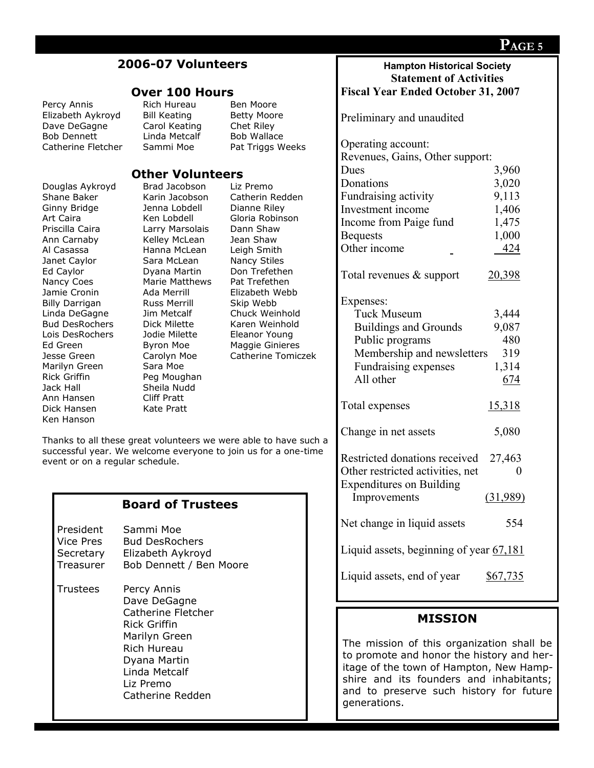| 2006-07 Volunteers                                                                                                                                                                                                                                                                                                        |                                                                                                                                                                                                            |                                                                                                                                                                                                                                                                                         | <b>Hampton Historical Society</b><br><b>Statement of Activities</b>                                                                                             |                                                            |
|---------------------------------------------------------------------------------------------------------------------------------------------------------------------------------------------------------------------------------------------------------------------------------------------------------------------------|------------------------------------------------------------------------------------------------------------------------------------------------------------------------------------------------------------|-----------------------------------------------------------------------------------------------------------------------------------------------------------------------------------------------------------------------------------------------------------------------------------------|-----------------------------------------------------------------------------------------------------------------------------------------------------------------|------------------------------------------------------------|
| <b>Over 100 Hours</b>                                                                                                                                                                                                                                                                                                     |                                                                                                                                                                                                            |                                                                                                                                                                                                                                                                                         | <b>Fiscal Year Ended October 31, 2007</b>                                                                                                                       |                                                            |
| Percy Annis<br>Elizabeth Aykroyd<br>Dave DeGagne<br><b>Bob Dennett</b><br>Catherine Fletcher                                                                                                                                                                                                                              | Rich Hureau<br><b>Bill Keating</b><br>Carol Keating<br>Linda Metcalf<br>Sammi Moe                                                                                                                          | Ben Moore<br><b>Betty Moore</b><br>Chet Riley<br>Bob Wallace<br>Pat Triggs Weeks                                                                                                                                                                                                        | Preliminary and unaudited<br>Operating account:<br>Revenues, Gains, Other support:                                                                              |                                                            |
|                                                                                                                                                                                                                                                                                                                           | <b>Other Volunteers</b>                                                                                                                                                                                    |                                                                                                                                                                                                                                                                                         | Dues                                                                                                                                                            | 3,960                                                      |
| Douglas Aykroyd<br>Shane Baker<br>Ginny Bridge<br>Art Caira<br>Priscilla Caira<br>Ann Carnaby<br>Al Casassa<br>Janet Caylor<br>Ed Caylor<br>Nancy Coes<br>Jamie Cronin<br><b>Billy Darrigan</b>                                                                                                                           | Brad Jacobson<br>Karin Jacobson<br>Jenna Lobdell<br>Ken Lobdell<br>Larry Marsolais<br>Kelley McLean<br>Hanna McLean<br>Sara McLean<br>Dyana Martin<br>Marie Matthews<br>Ada Merrill<br><b>Russ Merrill</b> | Liz Premo<br>Catherin Redden<br>Dianne Riley<br>Gloria Robinson<br>Dann Shaw<br>Jean Shaw<br>Leigh Smith<br>Nancy Stiles<br>Don Trefethen<br>Pat Trefethen<br>Elizabeth Webb<br>Skip Webb<br>Chuck Weinhold<br>Karen Weinhold<br>Eleanor Young<br>Maggie Ginieres<br>Catherine Tomiczek | Donations<br>Fundraising activity<br>Investment income<br>Income from Paige fund<br><b>Bequests</b><br>Other income<br>Total revenues $\&$ support<br>Expenses: | 3,020<br>9,113<br>1,406<br>1,475<br>1,000<br>424<br>20,398 |
| Jim Metcalf<br>Linda DeGagne<br><b>Bud DesRochers</b><br>Dick Milette<br>Lois DesRochers<br>Jodie Milette<br>Ed Green<br>Byron Moe<br>Carolyn Moe<br>Jesse Green<br>Marilyn Green<br>Sara Moe<br>Rick Griffin<br>Peg Moughan<br>Sheila Nudd<br>Jack Hall<br><b>Cliff Pratt</b><br>Ann Hansen<br>Dick Hansen<br>Kate Pratt |                                                                                                                                                                                                            |                                                                                                                                                                                                                                                                                         | <b>Tuck Museum</b><br><b>Buildings and Grounds</b><br>Public programs<br>Membership and newsletters<br>Fundraising expenses<br>All other<br>Total expenses      | 3,444<br>9,087<br>480<br>319<br>1,314<br>674<br>15,318     |
| Ken Hanson<br>Thanks to all these great volunteers we were able to have such a<br>successful year. We welcome everyone to join us for a one-time<br>event or on a regular schedule.                                                                                                                                       |                                                                                                                                                                                                            |                                                                                                                                                                                                                                                                                         | Change in net assets<br>Restricted donations received<br>Other restricted activities, net<br><b>Expenditures on Building</b>                                    | 5,080<br>27,463<br>$\theta$                                |
|                                                                                                                                                                                                                                                                                                                           | <b>Board of Trustees</b>                                                                                                                                                                                   |                                                                                                                                                                                                                                                                                         | Improvements                                                                                                                                                    | (31,989)                                                   |
| President<br>Sammi Moe<br><b>Vice Pres</b><br><b>Bud DesRochers</b><br>Secretary<br>Elizabeth Aykroyd<br>Bob Dennett / Ben Moore<br>Treasurer                                                                                                                                                                             |                                                                                                                                                                                                            |                                                                                                                                                                                                                                                                                         | Net change in liquid assets<br>Liquid assets, beginning of year 67,181                                                                                          | 554                                                        |
| <b>Trustees</b>                                                                                                                                                                                                                                                                                                           | Percy Annis<br>Dave DeGagne                                                                                                                                                                                |                                                                                                                                                                                                                                                                                         | Liquid assets, end of year                                                                                                                                      | \$67,735                                                   |
|                                                                                                                                                                                                                                                                                                                           | Catherine Fletcher<br><b>Rick Griffin</b><br>Marilyn Green<br>Rich Hureau<br>Dyana Martin<br>Linda Metcalf                                                                                                 |                                                                                                                                                                                                                                                                                         | <b>MISSION</b><br>The mission of this organization shall be<br>to promote and honor the history and her-<br>itage of the town of Hampton, New Hamp-             |                                                            |

Liz Premo

Catherine Redden

# **PAGE 5**

shire and its founders and inhabitants; and to preserve such history for future

generations.